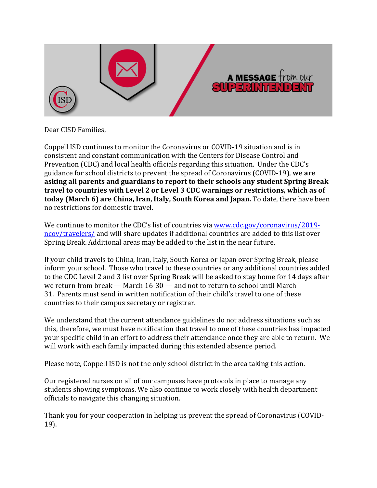

Dear CISD Families.

Coppell ISD continues to monitor the Coronavirus or COVID-19 situation and is in consistent and constant communication with the Centers for Disease Control and Prevention (CDC) and local health officials regarding this situation. Under the CDC's guidance for school districts to prevent the spread of Coronavirus (COVID-19), we are asking all parents and guardians to report to their schools any student Spring Break travel to countries with Level 2 or Level 3 CDC warnings or restrictions, which as of **today** (March 6) are China, Iran, Italy, South Korea and Japan. To date, there have been no restrictions for domestic travel.

We continue to monitor the CDC's list of countries via www.cdc.gov/coronavirus/2019ncov/travelers/ and will share updates if additional countries are added to this list over Spring Break. Additional areas may be added to the list in the near future.

If your child travels to China, Iran, Italy, South Korea or Japan over Spring Break, please inform your school. Those who travel to these countries or any additional countries added to the CDC Level 2 and 3 list over Spring Break will be asked to stay home for 14 days after we return from break — March  $16-30$  — and not to return to school until March 31. Parents must send in written notification of their child's travel to one of these countries to their campus secretary or registrar.

We understand that the current attendance guidelines do not address situations such as this, therefore, we must have notification that travel to one of these countries has impacted your specific child in an effort to address their attendance once they are able to return. We will work with each family impacted during this extended absence period.

Please note, Coppell ISD is not the only school district in the area taking this action.

Our registered nurses on all of our campuses have protocols in place to manage any students showing symptoms. We also continue to work closely with health department officials to navigate this changing situation.

Thank you for your cooperation in helping us prevent the spread of Coronavirus (COVID-19).